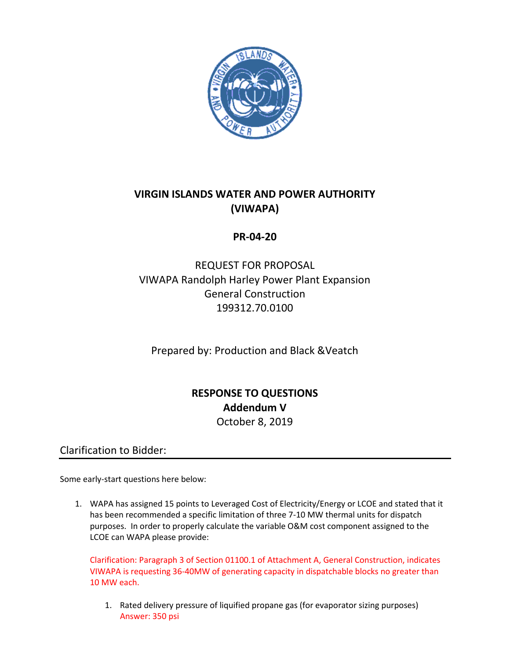

# **VIRGIN ISLANDS WATER AND POWER AUTHORITY (VIWAPA)**

#### **PR-04-20**

# REQUEST FOR PROPOSAL VIWAPA Randolph Harley Power Plant Expansion General Construction 199312.70.0100

Prepared by: Production and Black &Veatch

# **RESPONSE TO QUESTIONS Addendum V** October 8, 2019

Clarification to Bidder:

Some early-start questions here below:

1. WAPA has assigned 15 points to Leveraged Cost of Electricity/Energy or LCOE and stated that it has been recommended a specific limitation of three 7-10 MW thermal units for dispatch purposes. In order to properly calculate the variable O&M cost component assigned to the LCOE can WAPA please provide:

Clarification: Paragraph 3 of Section 01100.1 of Attachment A, General Construction, indicates VIWAPA is requesting 36-40MW of generating capacity in dispatchable blocks no greater than 10 MW each.

1. Rated delivery pressure of liquified propane gas (for evaporator sizing purposes) Answer: 350 psi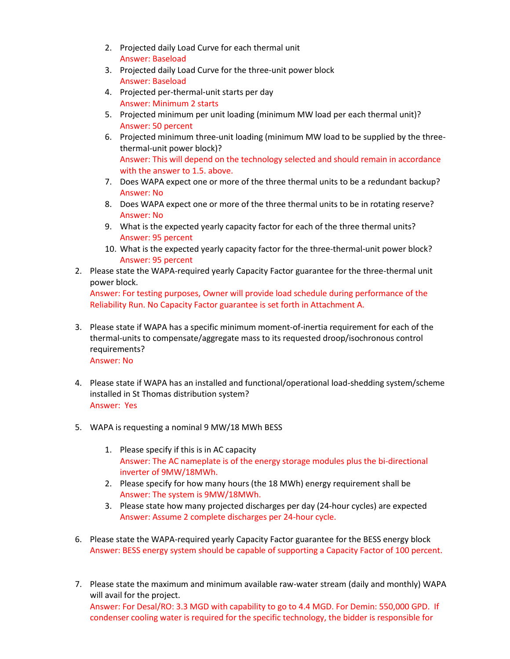- 2. Projected daily Load Curve for each thermal unit Answer: Baseload
- 3. Projected daily Load Curve for the three-unit power block Answer: Baseload
- 4. Projected per-thermal-unit starts per day Answer: Minimum 2 starts
- 5. Projected minimum per unit loading (minimum MW load per each thermal unit)? Answer: 50 percent
- 6. Projected minimum three-unit loading (minimum MW load to be supplied by the threethermal-unit power block)? Answer: This will depend on the technology selected and should remain in accordance with the answer to 1.5. above.
- 7. Does WAPA expect one or more of the three thermal units to be a redundant backup? Answer: No
- 8. Does WAPA expect one or more of the three thermal units to be in rotating reserve? Answer: No
- 9. What is the expected yearly capacity factor for each of the three thermal units? Answer: 95 percent
- 10. What is the expected yearly capacity factor for the three-thermal-unit power block? Answer: 95 percent
- 2. Please state the WAPA-required yearly Capacity Factor guarantee for the three-thermal unit power block.

Answer: For testing purposes, Owner will provide load schedule during performance of the Reliability Run. No Capacity Factor guarantee is set forth in Attachment A.

- 3. Please state if WAPA has a specific minimum moment-of-inertia requirement for each of the thermal-units to compensate/aggregate mass to its requested droop/isochronous control requirements? Answer: No
- 4. Please state if WAPA has an installed and functional/operational load-shedding system/scheme installed in St Thomas distribution system? Answer: Yes
- 5. WAPA is requesting a nominal 9 MW/18 MWh BESS
	- 1. Please specify if this is in AC capacity Answer: The AC nameplate is of the energy storage modules plus the bi-directional inverter of 9MW/18MWh.
	- 2. Please specify for how many hours (the 18 MWh) energy requirement shall be Answer: The system is 9MW/18MWh.
	- 3. Please state how many projected discharges per day (24-hour cycles) are expected Answer: Assume 2 complete discharges per 24-hour cycle.
- 6. Please state the WAPA-required yearly Capacity Factor guarantee for the BESS energy block Answer: BESS energy system should be capable of supporting a Capacity Factor of 100 percent.
- 7. Please state the maximum and minimum available raw-water stream (daily and monthly) WAPA will avail for the project. Answer: For Desal/RO: 3.3 MGD with capability to go to 4.4 MGD. For Demin: 550,000 GPD. If condenser cooling water is required for the specific technology, the bidder is responsible for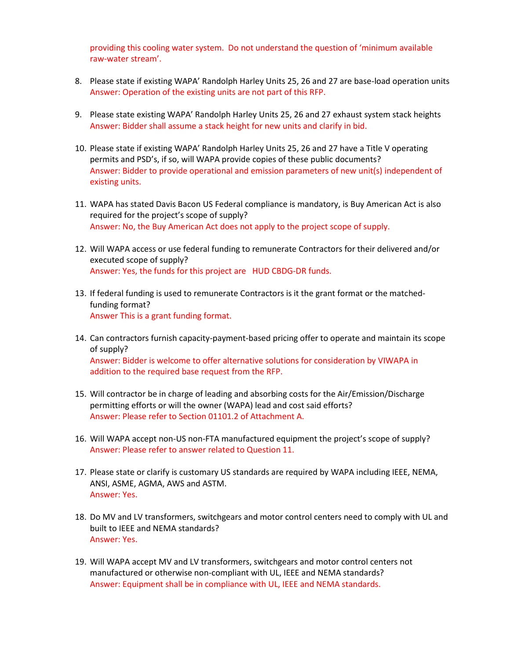providing this cooling water system. Do not understand the question of 'minimum available raw-water stream'.

- 8. Please state if existing WAPA' Randolph Harley Units 25, 26 and 27 are base-load operation units Answer: Operation of the existing units are not part of this RFP.
- 9. Please state existing WAPA' Randolph Harley Units 25, 26 and 27 exhaust system stack heights Answer: Bidder shall assume a stack height for new units and clarify in bid.
- 10. Please state if existing WAPA' Randolph Harley Units 25, 26 and 27 have a Title V operating permits and PSD's, if so, will WAPA provide copies of these public documents? Answer: Bidder to provide operational and emission parameters of new unit(s) independent of existing units.
- 11. WAPA has stated Davis Bacon US Federal compliance is mandatory, is Buy American Act is also required for the project's scope of supply? Answer: No, the Buy American Act does not apply to the project scope of supply.
- 12. Will WAPA access or use federal funding to remunerate Contractors for their delivered and/or executed scope of supply? Answer: Yes, the funds for this project are HUD CBDG-DR funds.
- 13. If federal funding is used to remunerate Contractors is it the grant format or the matchedfunding format? Answer This is a grant funding format.
- 14. Can contractors furnish capacity-payment-based pricing offer to operate and maintain its scope of supply? Answer: Bidder is welcome to offer alternative solutions for consideration by VIWAPA in addition to the required base request from the RFP.
- 15. Will contractor be in charge of leading and absorbing costs for the Air/Emission/Discharge permitting efforts or will the owner (WAPA) lead and cost said efforts? Answer: Please refer to Section 01101.2 of Attachment A.
- 16. Will WAPA accept non-US non-FTA manufactured equipment the project's scope of supply? Answer: Please refer to answer related to Question 11.
- 17. Please state or clarify is customary US standards are required by WAPA including IEEE, NEMA, ANSI, ASME, AGMA, AWS and ASTM. Answer: Yes.
- 18. Do MV and LV transformers, switchgears and motor control centers need to comply with UL and built to IEEE and NEMA standards? Answer: Yes.
- 19. Will WAPA accept MV and LV transformers, switchgears and motor control centers not manufactured or otherwise non-compliant with UL, IEEE and NEMA standards? Answer: Equipment shall be in compliance with UL, IEEE and NEMA standards.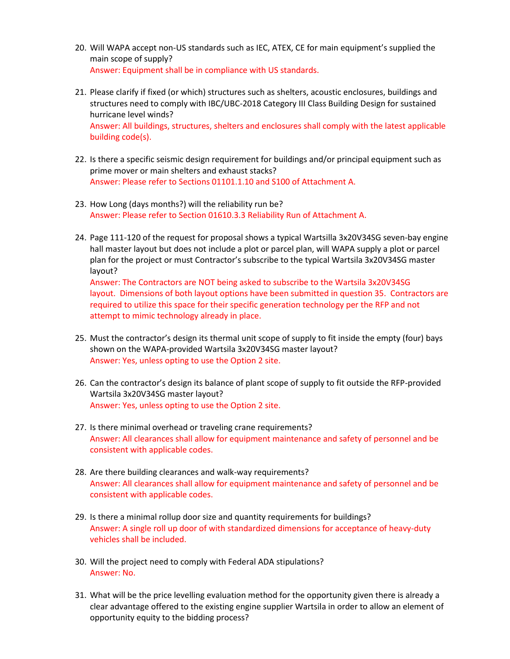- 20. Will WAPA accept non-US standards such as IEC, ATEX, CE for main equipment's supplied the main scope of supply? Answer: Equipment shall be in compliance with US standards.
- 21. Please clarify if fixed (or which) structures such as shelters, acoustic enclosures, buildings and structures need to comply with IBC/UBC-2018 Category III Class Building Design for sustained hurricane level winds? Answer: All buildings, structures, shelters and enclosures shall comply with the latest applicable building code(s).
- 22. Is there a specific seismic design requirement for buildings and/or principal equipment such as prime mover or main shelters and exhaust stacks? Answer: Please refer to Sections 01101.1.10 and S100 of Attachment A.
- 23. How Long (days months?) will the reliability run be? Answer: Please refer to Section 01610.3.3 Reliability Run of Attachment A.
- 24. Page 111-120 of the request for proposal shows a typical Wartsilla 3x20V34SG seven-bay engine hall master layout but does not include a plot or parcel plan, will WAPA supply a plot or parcel plan for the project or must Contractor's subscribe to the typical Wartsila 3x20V34SG master layout?

Answer: The Contractors are NOT being asked to subscribe to the Wartsila 3x20V34SG layout. Dimensions of both layout options have been submitted in question 35. Contractors are required to utilize this space for their specific generation technology per the RFP and not attempt to mimic technology already in place.

- 25. Must the contractor's design its thermal unit scope of supply to fit inside the empty (four) bays shown on the WAPA-provided Wartsila 3x20V34SG master layout? Answer: Yes, unless opting to use the Option 2 site.
- 26. Can the contractor's design its balance of plant scope of supply to fit outside the RFP-provided Wartsila 3x20V34SG master layout? Answer: Yes, unless opting to use the Option 2 site.
- 27. Is there minimal overhead or traveling crane requirements? Answer: All clearances shall allow for equipment maintenance and safety of personnel and be consistent with applicable codes.
- 28. Are there building clearances and walk-way requirements? Answer: All clearances shall allow for equipment maintenance and safety of personnel and be consistent with applicable codes.
- 29. Is there a minimal rollup door size and quantity requirements for buildings? Answer: A single roll up door of with standardized dimensions for acceptance of heavy-duty vehicles shall be included.
- 30. Will the project need to comply with Federal ADA stipulations? Answer: No.
- 31. What will be the price levelling evaluation method for the opportunity given there is already a clear advantage offered to the existing engine supplier Wartsila in order to allow an element of opportunity equity to the bidding process?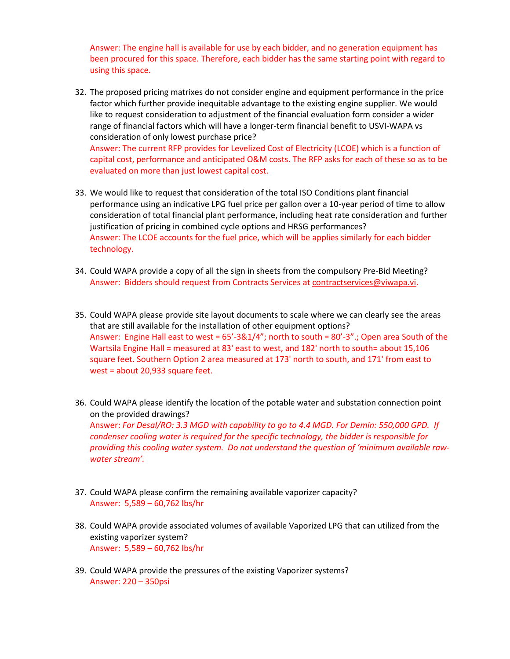Answer: The engine hall is available for use by each bidder, and no generation equipment has been procured for this space. Therefore, each bidder has the same starting point with regard to using this space.

- 32. The proposed pricing matrixes do not consider engine and equipment performance in the price factor which further provide inequitable advantage to the existing engine supplier. We would like to request consideration to adjustment of the financial evaluation form consider a wider range of financial factors which will have a longer-term financial benefit to USVI-WAPA vs consideration of only lowest purchase price? Answer: The current RFP provides for Levelized Cost of Electricity (LCOE) which is a function of capital cost, performance and anticipated O&M costs. The RFP asks for each of these so as to be evaluated on more than just lowest capital cost.
- 33. We would like to request that consideration of the total ISO Conditions plant financial performance using an indicative LPG fuel price per gallon over a 10-year period of time to allow consideration of total financial plant performance, including heat rate consideration and further justification of pricing in combined cycle options and HRSG performances? Answer: The LCOE accounts for the fuel price, which will be applies similarly for each bidder technology.
- 34. Could WAPA provide a copy of all the sign in sheets from the compulsory Pre-Bid Meeting? Answer: Bidders should request from Contracts Services at [contractservices@viwapa.vi.](mailto:contractservices@viwapa.vi)
- 35. Could WAPA please provide site layout documents to scale where we can clearly see the areas that are still available for the installation of other equipment options? Answer: Engine Hall east to west = 65'-3&1/4"; north to south = 80'-3" .; Open area South of the Wartsila Engine Hall = measured at 83' east to west, and 182' north to south= about 15,106 square feet. Southern Option 2 area measured at 173' north to south, and 171' from east to west = about 20,933 square feet.
- 36. Could WAPA please identify the location of the potable water and substation connection point on the provided drawings? Answer: *For Desal/RO: 3.3 MGD with capability to go to 4.4 MGD. For Demin: 550,000 GPD. If condenser cooling water is required for the specific technology, the bidder is responsible for providing this cooling water system. Do not understand the question of 'minimum available rawwater stream'.*
- 37. Could WAPA please confirm the remaining available vaporizer capacity? Answer: 5,589 – 60,762 lbs/hr
- 38. Could WAPA provide associated volumes of available Vaporized LPG that can utilized from the existing vaporizer system? Answer: 5,589 – 60,762 lbs/hr
- 39. Could WAPA provide the pressures of the existing Vaporizer systems? Answer: 220 – 350psi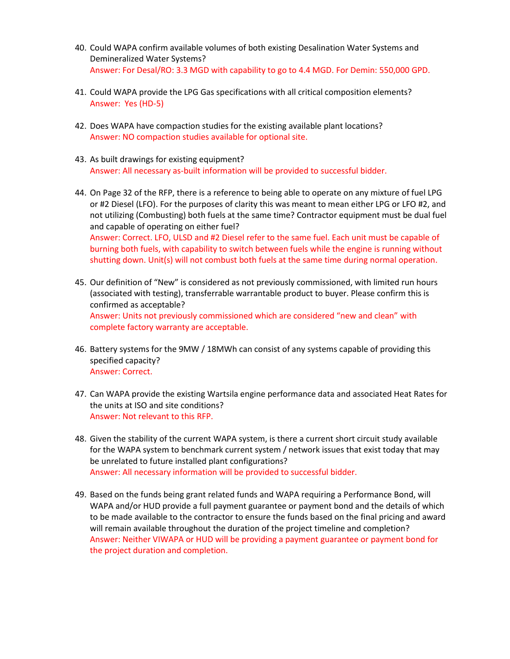- 40. Could WAPA confirm available volumes of both existing Desalination Water Systems and Demineralized Water Systems? Answer: For Desal/RO: 3.3 MGD with capability to go to 4.4 MGD. For Demin: 550,000 GPD.
- 41. Could WAPA provide the LPG Gas specifications with all critical composition elements? Answer: Yes (HD-5)
- 42. Does WAPA have compaction studies for the existing available plant locations? Answer: NO compaction studies available for optional site.
- 43. As built drawings for existing equipment? Answer: All necessary as-built information will be provided to successful bidder.
- 44. On Page 32 of the RFP, there is a reference to being able to operate on any mixture of fuel LPG or #2 Diesel (LFO). For the purposes of clarity this was meant to mean either LPG or LFO #2, and not utilizing (Combusting) both fuels at the same time? Contractor equipment must be dual fuel and capable of operating on either fuel? Answer: Correct. LFO, ULSD and #2 Diesel refer to the same fuel. Each unit must be capable of burning both fuels, with capability to switch between fuels while the engine is running without shutting down. Unit(s) will not combust both fuels at the same time during normal operation.
- 45. Our definition of "New" is considered as not previously commissioned, with limited run hours (associated with testing), transferrable warrantable product to buyer. Please confirm this is confirmed as acceptable? Answer: Units not previously commissioned which are considered "new and clean" with complete factory warranty are acceptable.
- 46. Battery systems for the 9MW / 18MWh can consist of any systems capable of providing this specified capacity? Answer: Correct.
- 47. Can WAPA provide the existing Wartsila engine performance data and associated Heat Rates for the units at ISO and site conditions? Answer: Not relevant to this RFP.
- 48. Given the stability of the current WAPA system, is there a current short circuit study available for the WAPA system to benchmark current system / network issues that exist today that may be unrelated to future installed plant configurations? Answer: All necessary information will be provided to successful bidder.
- 49. Based on the funds being grant related funds and WAPA requiring a Performance Bond, will WAPA and/or HUD provide a full payment guarantee or payment bond and the details of which to be made available to the contractor to ensure the funds based on the final pricing and award will remain available throughout the duration of the project timeline and completion? Answer: Neither VIWAPA or HUD will be providing a payment guarantee or payment bond for the project duration and completion.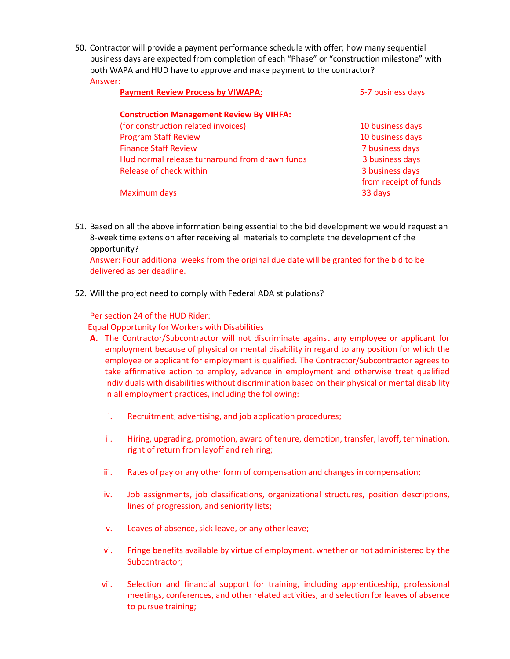50. Contractor will provide a payment performance schedule with offer; how many sequential business days are expected from completion of each "Phase" or "construction milestone" with both WAPA and HUD have to approve and make payment to the contractor? Answer:

| <b>Payment Review Process by VIWAPA:</b>        | 5-7 business days     |
|-------------------------------------------------|-----------------------|
| <b>Construction Management Review By VIHFA:</b> |                       |
| (for construction related invoices)             | 10 business days      |
| <b>Program Staff Review</b>                     | 10 business days      |
| <b>Finance Staff Review</b>                     | 7 business days       |
| Hud normal release turnaround from drawn funds  | 3 business days       |
| Release of check within                         | 3 business days       |
|                                                 | from receipt of funds |
| Maximum days                                    | 33 days               |

51. Based on all the above information being essential to the bid development we would request an 8-week time extension after receiving all materials to complete the development of the opportunity?

Answer: Four additional weeks from the original due date will be granted for the bid to be delivered as per deadline.

52. Will the project need to comply with Federal ADA stipulations?

#### Per section 24 of the HUD Rider:

Equal Opportunity for Workers with Disabilities

- **A.** The Contractor/Subcontractor will not discriminate against any employee or applicant for employment because of physical or mental disability in regard to any position for which the employee or applicant for employment is qualified. The Contractor/Subcontractor agrees to take affirmative action to employ, advance in employment and otherwise treat qualified individuals with disabilities without discrimination based on their physical or mental disability in all employment practices, including the following:
	- i. Recruitment, advertising, and job application procedures;
	- ii. Hiring, upgrading, promotion, award of tenure, demotion, transfer, layoff, termination, right of return from layoff and rehiring;
	- iii. Rates of pay or any other form of compensation and changes in compensation;
	- iv. Job assignments, job classifications, organizational structures, position descriptions, lines of progression, and seniority lists;
	- v. Leaves of absence, sick leave, or any otherleave;
	- vi. Fringe benefits available by virtue of employment, whether or not administered by the Subcontractor;
	- vii. Selection and financial support for training, including apprenticeship, professional meetings, conferences, and other related activities, and selection for leaves of absence to pursue training;